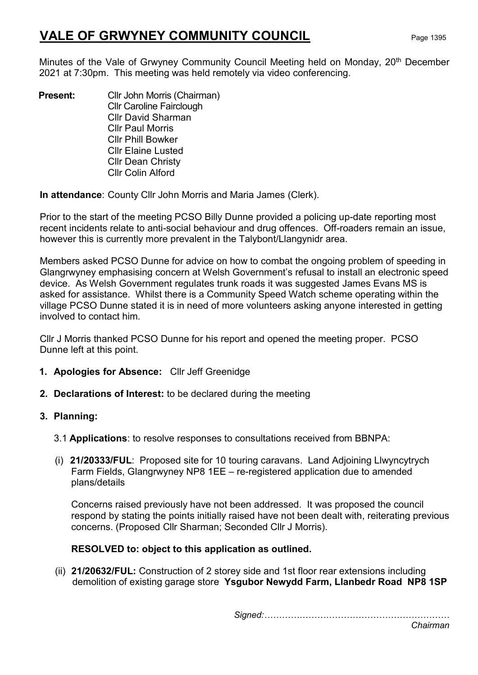# VALE OF GRWYNEY COMMUNITY COUNCIL Page 1395

Minutes of the Vale of Grwyney Community Council Meeting held on Monday, 20<sup>th</sup> December 2021 at 7:30pm. This meeting was held remotely via video conferencing.

**Present:** Cllr John Morris (Chairman) Cllr Caroline Fairclough Cllr David Sharman Cllr Paul Morris Cllr Phill Bowker Cllr Elaine Lusted Cllr Dean Christy Cllr Colin Alford

In attendance: County Cllr John Morris and Maria James (Clerk).

Prior to the start of the meeting PCSO Billy Dunne provided a policing up-date reporting most recent incidents relate to anti-social behaviour and drug offences. Off-roaders remain an issue, however this is currently more prevalent in the Talybont/Llangynidr area.

Members asked PCSO Dunne for advice on how to combat the ongoing problem of speeding in Glangrwyney emphasising concern at Welsh Government's refusal to install an electronic speed device. As Welsh Government regulates trunk roads it was suggested James Evans MS is asked for assistance. Whilst there is a Community Speed Watch scheme operating within the village PCSO Dunne stated it is in need of more volunteers asking anyone interested in getting involved to contact him.

Cllr J Morris thanked PCSO Dunne for his report and opened the meeting proper. PCSO Dunne left at this point.

- 1. Apologies for Absence: Cllr Jeff Greenidge
- 2. Declarations of Interest: to be declared during the meeting

# 3. Planning:

- 3.1 Applications: to resolve responses to consultations received from BBNPA:
- (i) 21/20333/FUL: Proposed site for 10 touring caravans. Land Adjoining Llwyncytrych Farm Fields, Glangrwyney NP8 1EE – re-registered application due to amended plans/details

Concerns raised previously have not been addressed. It was proposed the council respond by stating the points initially raised have not been dealt with, reiterating previous concerns. (Proposed Cllr Sharman; Seconded Cllr J Morris).

# RESOLVED to: object to this application as outlined.

(ii) 21/20632/FUL: Construction of 2 storey side and 1st floor rear extensions including demolition of existing garage store Ysgubor Newydd Farm, Llanbedr Road NP8 1SP

Signed:………………………………………………………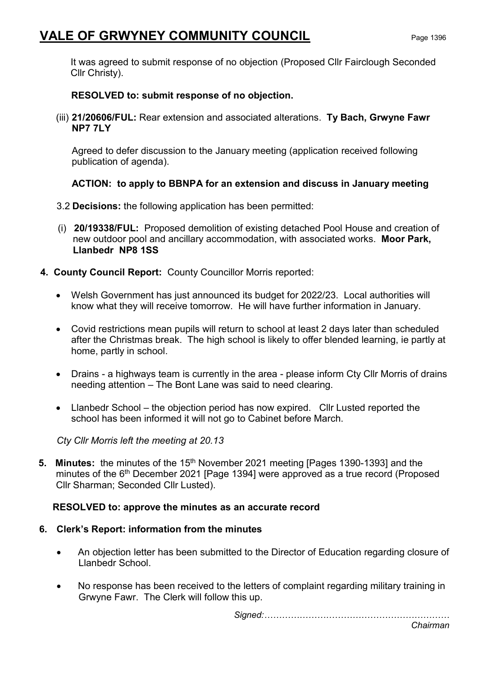# VALE OF GRWYNEY COMMUNITY COUNCIL Page 1396

It was agreed to submit response of no objection (Proposed Cllr Fairclough Seconded Cllr Christy).

#### RESOLVED to: submit response of no objection.

(iii) 21/20606/FUL: Rear extension and associated alterations. Ty Bach, Grwyne Fawr NP7 7LY

Agreed to defer discussion to the January meeting (application received following publication of agenda).

# ACTION: to apply to BBNPA for an extension and discuss in January meeting

- 3.2 Decisions: the following application has been permitted:
- (i) 20/19338/FUL: Proposed demolition of existing detached Pool House and creation of new outdoor pool and ancillary accommodation, with associated works. Moor Park, Llanbedr NP8 1SS
- 4. County Council Report: County Councillor Morris reported:
	- Welsh Government has just announced its budget for 2022/23. Local authorities will know what they will receive tomorrow. He will have further information in January.
	- Covid restrictions mean pupils will return to school at least 2 days later than scheduled after the Christmas break. The high school is likely to offer blended learning, ie partly at home, partly in school.
	- Drains a highways team is currently in the area please inform Cty Cllr Morris of drains needing attention – The Bont Lane was said to need clearing.
	- Llanbedr School the objection period has now expired. Cllr Lusted reported the school has been informed it will not go to Cabinet before March.

Cty Cllr Morris left the meeting at 20.13

5. Minutes: the minutes of the 15<sup>th</sup> November 2021 meeting [Pages 1390-1393] and the minutes of the 6<sup>th</sup> December 2021 [Page 1394] were approved as a true record (Proposed Cllr Sharman; Seconded Cllr Lusted).

#### RESOLVED to: approve the minutes as an accurate record

#### 6. Clerk's Report: information from the minutes

- An objection letter has been submitted to the Director of Education regarding closure of Llanbedr School.
- No response has been received to the letters of complaint regarding military training in Grwyne Fawr. The Clerk will follow this up.

Signed:………………………………………………………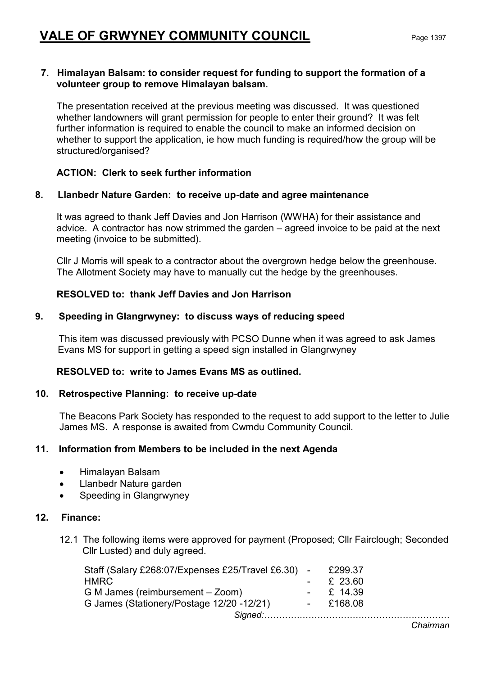#### 7. Himalayan Balsam: to consider request for funding to support the formation of a volunteer group to remove Himalayan balsam.

The presentation received at the previous meeting was discussed. It was questioned whether landowners will grant permission for people to enter their ground? It was felt further information is required to enable the council to make an informed decision on whether to support the application, ie how much funding is required/how the group will be structured/organised?

# ACTION: Clerk to seek further information

# 8. Llanbedr Nature Garden: to receive up-date and agree maintenance

It was agreed to thank Jeff Davies and Jon Harrison (WWHA) for their assistance and advice. A contractor has now strimmed the garden – agreed invoice to be paid at the next meeting (invoice to be submitted).

Cllr J Morris will speak to a contractor about the overgrown hedge below the greenhouse. The Allotment Society may have to manually cut the hedge by the greenhouses.

# RESOLVED to: thank Jeff Davies and Jon Harrison

# 9. Speeding in Glangrwyney: to discuss ways of reducing speed

 This item was discussed previously with PCSO Dunne when it was agreed to ask James Evans MS for support in getting a speed sign installed in Glangrwyney

#### RESOLVED to: write to James Evans MS as outlined.

#### 10. Retrospective Planning: to receive up-date

The Beacons Park Society has responded to the request to add support to the letter to Julie James MS. A response is awaited from Cwmdu Community Council.

#### 11. Information from Members to be included in the next Agenda

- Himalayan Balsam
- Llanbedr Nature garden
- Speeding in Glangrwyney

#### 12. Finance:

12.1 The following items were approved for payment (Proposed; Cllr Fairclough; Seconded Cllr Lusted) and duly agreed.

| Staff (Salary £268:07/Expenses £25/Travel £6.30) - | £299.37          |
|----------------------------------------------------|------------------|
| HMRC                                               | $\text{E}$ 23.60 |
| G M James (reimbursement – Zoom)                   | $\div$ £ 14.39   |
| G James (Stationery/Postage 12/20 -12/21)          | $-$ £168.08      |
|                                                    |                  |